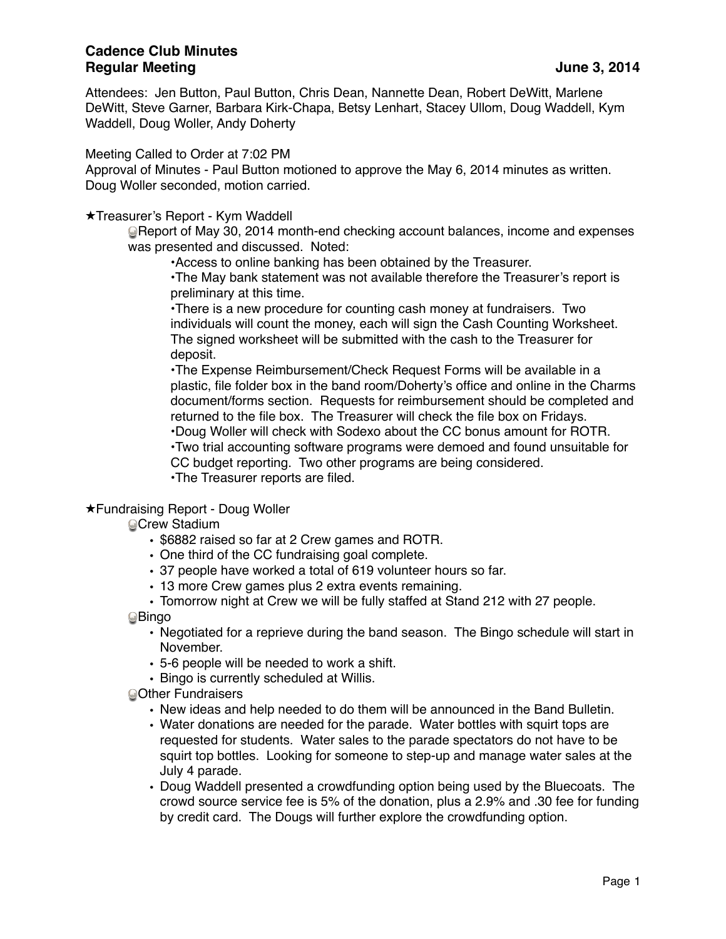Attendees: Jen Button, Paul Button, Chris Dean, Nannette Dean, Robert DeWitt, Marlene DeWitt, Steve Garner, Barbara Kirk-Chapa, Betsy Lenhart, Stacey Ullom, Doug Waddell, Kym Waddell, Doug Woller, Andy Doherty

Meeting Called to Order at 7:02 PM

Approval of Minutes - Paul Button motioned to approve the May 6, 2014 minutes as written. Doug Woller seconded, motion carried.

★Treasurer's Report - Kym Waddell

Report of May 30, 2014 month-end checking account balances, income and expenses was presented and discussed. Noted:

•Access to online banking has been obtained by the Treasurer.

•The May bank statement was not available therefore the Treasurer's report is preliminary at this time.

•There is a new procedure for counting cash money at fundraisers. Two individuals will count the money, each will sign the Cash Counting Worksheet. The signed worksheet will be submitted with the cash to the Treasurer for deposit.

•The Expense Reimbursement/Check Request Forms will be available in a plastic, file folder box in the band room/Doherty's office and online in the Charms document/forms section. Requests for reimbursement should be completed and returned to the file box. The Treasurer will check the file box on Fridays. •Doug Woller will check with Sodexo about the CC bonus amount for ROTR. •Two trial accounting software programs were demoed and found unsuitable for CC budget reporting. Two other programs are being considered. •The Treasurer reports are filed.

## ★Fundraising Report - Doug Woller

**Crew Stadium** 

- \$6882 raised so far at 2 Crew games and ROTR.
- One third of the CC fundraising goal complete.
- 37 people have worked a total of 619 volunteer hours so far.
- 13 more Crew games plus 2 extra events remaining.

• Tomorrow night at Crew we will be fully staffed at Stand 212 with 27 people. **O**Bingo

- Negotiated for a reprieve during the band season. The Bingo schedule will start in November.
- 5-6 people will be needed to work a shift.
- Bingo is currently scheduled at Willis.

**Other Fundraisers** 

- New ideas and help needed to do them will be announced in the Band Bulletin.
- Water donations are needed for the parade. Water bottles with squirt tops are requested for students. Water sales to the parade spectators do not have to be squirt top bottles. Looking for someone to step-up and manage water sales at the July 4 parade.
- Doug Waddell presented a crowdfunding option being used by the Bluecoats. The crowd source service fee is 5% of the donation, plus a 2.9% and .30 fee for funding by credit card. The Dougs will further explore the crowdfunding option.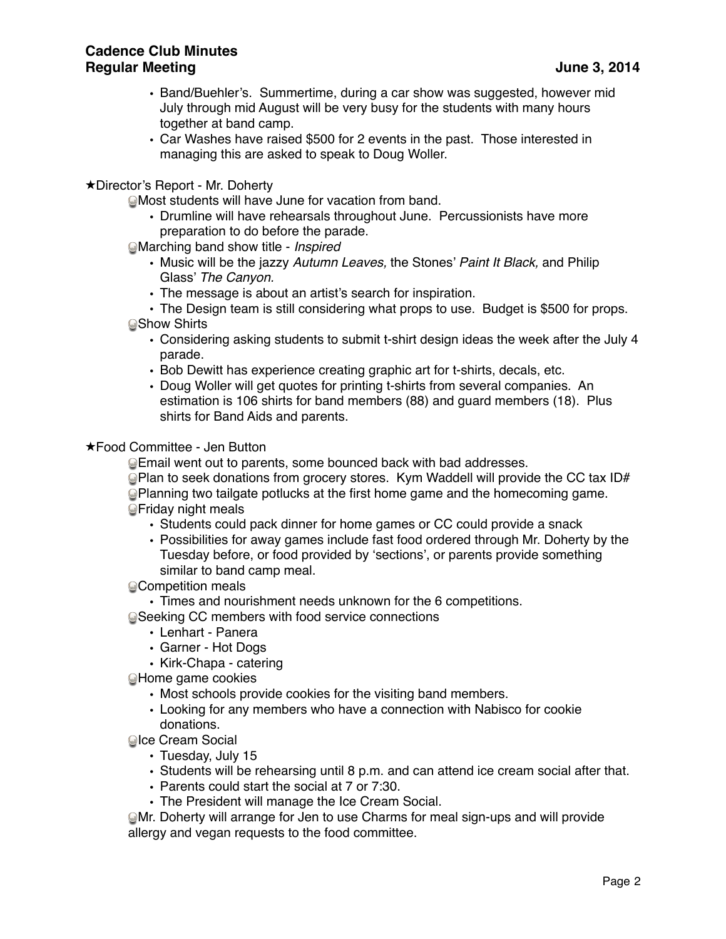- Band/Buehler's. Summertime, during a car show was suggested, however mid July through mid August will be very busy for the students with many hours together at band camp.
- Car Washes have raised \$500 for 2 events in the past. Those interested in managing this are asked to speak to Doug Woller.
- ★Director's Report Mr. Doherty

Most students will have June for vacation from band.

- Drumline will have rehearsals throughout June. Percussionists have more preparation to do before the parade.
- Marching band show title *Inspired*
	- Music will be the jazzy *Autumn Leaves,* the Stones' *Paint It Black,* and Philip Glass' *The Canyon.*
	- The message is about an artist's search for inspiration.
- The Design team is still considering what props to use. Budget is \$500 for props. **Show Shirts** 
	- Considering asking students to submit t-shirt design ideas the week after the July 4 parade.
	- Bob Dewitt has experience creating graphic art for t-shirts, decals, etc.
	- Doug Woller will get quotes for printing t-shirts from several companies. An estimation is 106 shirts for band members (88) and guard members (18). Plus shirts for Band Aids and parents.

## ★Food Committee - Jen Button

Email went out to parents, some bounced back with bad addresses.

 $\bigcirc$ Plan to seek donations from grocery stores. Kym Waddell will provide the CC tax ID# Planning two tailgate potlucks at the first home game and the homecoming game. Friday night meals

- Students could pack dinner for home games or CC could provide a snack
- Possibilities for away games include fast food ordered through Mr. Doherty by the Tuesday before, or food provided by 'sections', or parents provide something similar to band camp meal.

## **Competition meals**

• Times and nourishment needs unknown for the 6 competitions.

Seeking CC members with food service connections

- Lenhart Panera
- Garner Hot Dogs
- Kirk-Chapa catering
- Home game cookies
	- Most schools provide cookies for the visiting band members.
	- Looking for any members who have a connection with Nabisco for cookie donations.
- **QIce Cream Social** 
	- Tuesday, July 15
	- Students will be rehearsing until 8 p.m. and can attend ice cream social after that.
	- Parents could start the social at 7 or 7:30.
	- The President will manage the Ice Cream Social.

Mr. Doherty will arrange for Jen to use Charms for meal sign-ups and will provide allergy and vegan requests to the food committee.